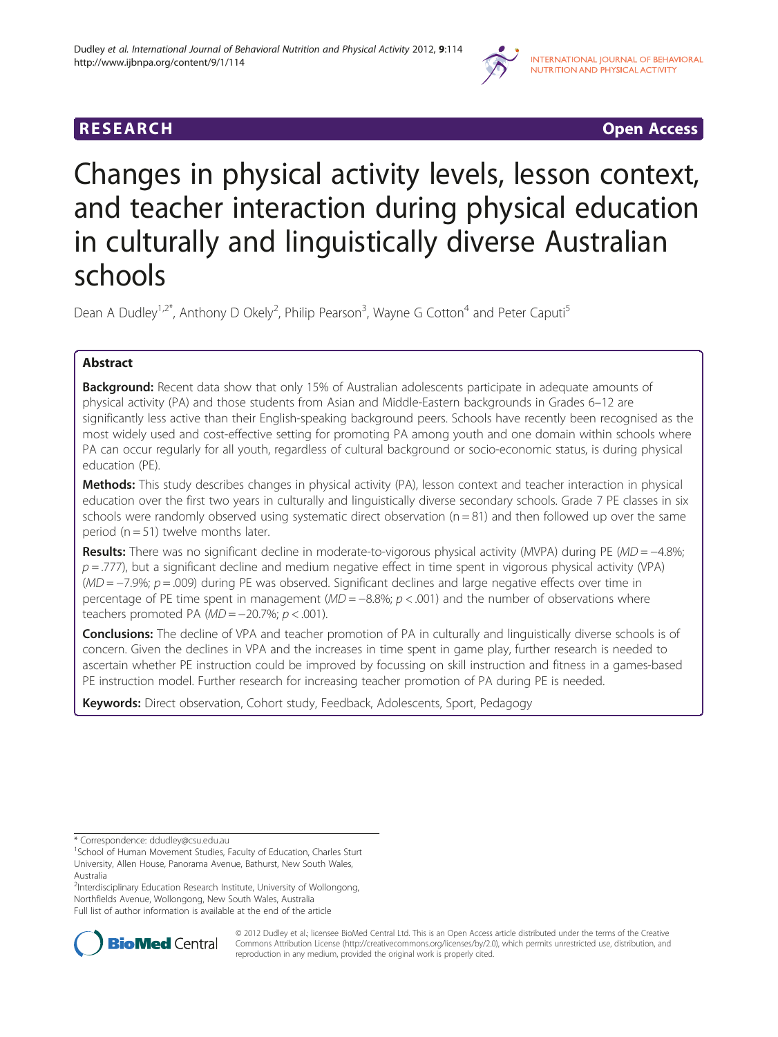

# **RESEARCH RESEARCH CONSUMING ACCESS**

# Changes in physical activity levels, lesson context, and teacher interaction during physical education in culturally and linguistically diverse Australian schools

Dean A Dudley<sup>1,2\*</sup>, Anthony D Okely<sup>2</sup>, Philip Pearson<sup>3</sup>, Wayne G Cotton<sup>4</sup> and Peter Caputi<sup>5</sup>

# Abstract

**Background:** Recent data show that only 15% of Australian adolescents participate in adequate amounts of physical activity (PA) and those students from Asian and Middle-Eastern backgrounds in Grades 6–12 are significantly less active than their English-speaking background peers. Schools have recently been recognised as the most widely used and cost-effective setting for promoting PA among youth and one domain within schools where PA can occur regularly for all youth, regardless of cultural background or socio-economic status, is during physical education (PE).

Methods: This study describes changes in physical activity (PA), lesson context and teacher interaction in physical education over the first two years in culturally and linguistically diverse secondary schools. Grade 7 PE classes in six schools were randomly observed using systematic direct observation  $(n = 81)$  and then followed up over the same period ( $n = 51$ ) twelve months later.

Results: There was no significant decline in moderate-to-vigorous physical activity (MVPA) during PE (MD = −4.8%;  $p = 0.777$ , but a significant decline and medium negative effect in time spent in vigorous physical activity (VPA) (MD = −7.9%; p = .009) during PE was observed. Significant declines and large negative effects over time in percentage of PE time spent in management ( $MD = -8.8\%$ ;  $p < .001$ ) and the number of observations where teachers promoted PA ( $MD = -20.7\%$ ;  $p < .001$ ).

Conclusions: The decline of VPA and teacher promotion of PA in culturally and linguistically diverse schools is of concern. Given the declines in VPA and the increases in time spent in game play, further research is needed to ascertain whether PE instruction could be improved by focussing on skill instruction and fitness in a games-based PE instruction model. Further research for increasing teacher promotion of PA during PE is needed.

Keywords: Direct observation, Cohort study, Feedback, Adolescents, Sport, Pedagogy

<sup>2</sup>Interdisciplinary Education Research Institute, University of Wollongong, Northfields Avenue, Wollongong, New South Wales, Australia Full list of author information is available at the end of the article



© 2012 Dudley et al.; licensee BioMed Central Ltd. This is an Open Access article distributed under the terms of the Creative Commons Attribution License [\(http://creativecommons.org/licenses/by/2.0\)](http://creativecommons.org/licenses/by/2.0), which permits unrestricted use, distribution, and reproduction in any medium, provided the original work is properly cited.

<sup>\*</sup> Correspondence: [ddudley@csu.edu.au](mailto:ddudley@csu.edu.au) <sup>1</sup>

<sup>&</sup>lt;sup>1</sup>School of Human Movement Studies, Faculty of Education, Charles Sturt University, Allen House, Panorama Avenue, Bathurst, New South Wales, Australia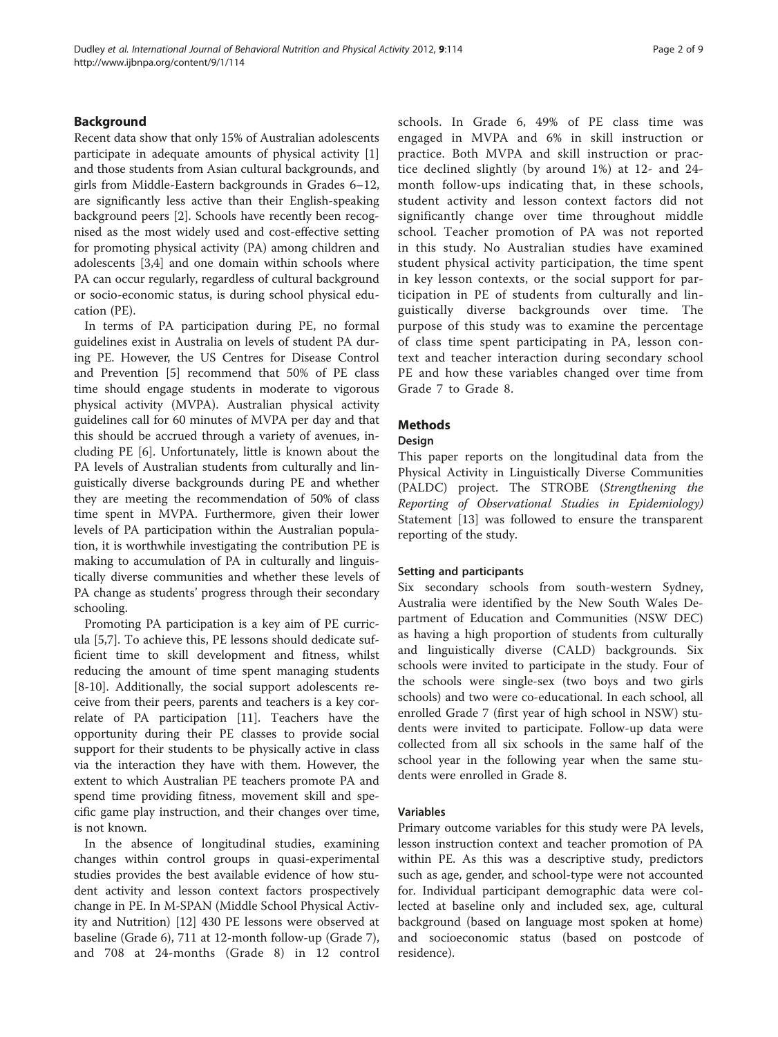## Background

Recent data show that only 15% of Australian adolescents participate in adequate amounts of physical activity [\[1](#page-7-0)] and those students from Asian cultural backgrounds, and girls from Middle-Eastern backgrounds in Grades 6–12, are significantly less active than their English-speaking background peers [\[2](#page-7-0)]. Schools have recently been recognised as the most widely used and cost-effective setting for promoting physical activity (PA) among children and adolescents [\[3](#page-7-0),[4](#page-7-0)] and one domain within schools where PA can occur regularly, regardless of cultural background or socio-economic status, is during school physical education (PE).

In terms of PA participation during PE, no formal guidelines exist in Australia on levels of student PA during PE. However, the US Centres for Disease Control and Prevention [\[5\]](#page-7-0) recommend that 50% of PE class time should engage students in moderate to vigorous physical activity (MVPA). Australian physical activity guidelines call for 60 minutes of MVPA per day and that this should be accrued through a variety of avenues, including PE [[6\]](#page-7-0). Unfortunately, little is known about the PA levels of Australian students from culturally and linguistically diverse backgrounds during PE and whether they are meeting the recommendation of 50% of class time spent in MVPA. Furthermore, given their lower levels of PA participation within the Australian population, it is worthwhile investigating the contribution PE is making to accumulation of PA in culturally and linguistically diverse communities and whether these levels of PA change as students' progress through their secondary schooling.

Promoting PA participation is a key aim of PE curricula [[5,7\]](#page-7-0). To achieve this, PE lessons should dedicate sufficient time to skill development and fitness, whilst reducing the amount of time spent managing students [[8-10](#page-7-0)]. Additionally, the social support adolescents receive from their peers, parents and teachers is a key correlate of PA participation [\[11](#page-7-0)]. Teachers have the opportunity during their PE classes to provide social support for their students to be physically active in class via the interaction they have with them. However, the extent to which Australian PE teachers promote PA and spend time providing fitness, movement skill and specific game play instruction, and their changes over time, is not known.

In the absence of longitudinal studies, examining changes within control groups in quasi-experimental studies provides the best available evidence of how student activity and lesson context factors prospectively change in PE. In M-SPAN (Middle School Physical Activity and Nutrition) [[12](#page-7-0)] 430 PE lessons were observed at baseline (Grade 6), 711 at 12-month follow-up (Grade 7), and 708 at 24-months (Grade 8) in 12 control schools. In Grade 6, 49% of PE class time was engaged in MVPA and 6% in skill instruction or practice. Both MVPA and skill instruction or practice declined slightly (by around 1%) at 12- and 24 month follow-ups indicating that, in these schools, student activity and lesson context factors did not significantly change over time throughout middle school. Teacher promotion of PA was not reported in this study. No Australian studies have examined student physical activity participation, the time spent in key lesson contexts, or the social support for participation in PE of students from culturally and linguistically diverse backgrounds over time. The purpose of this study was to examine the percentage of class time spent participating in PA, lesson context and teacher interaction during secondary school PE and how these variables changed over time from Grade 7 to Grade 8.

# **Methods**

#### Design

This paper reports on the longitudinal data from the Physical Activity in Linguistically Diverse Communities (PALDC) project. The STROBE (Strengthening the Reporting of Observational Studies in Epidemiology) Statement [[13\]](#page-8-0) was followed to ensure the transparent reporting of the study.

#### Setting and participants

Six secondary schools from south-western Sydney, Australia were identified by the New South Wales Department of Education and Communities (NSW DEC) as having a high proportion of students from culturally and linguistically diverse (CALD) backgrounds. Six schools were invited to participate in the study. Four of the schools were single-sex (two boys and two girls schools) and two were co-educational. In each school, all enrolled Grade 7 (first year of high school in NSW) students were invited to participate. Follow-up data were collected from all six schools in the same half of the school year in the following year when the same students were enrolled in Grade 8.

#### Variables

Primary outcome variables for this study were PA levels, lesson instruction context and teacher promotion of PA within PE. As this was a descriptive study, predictors such as age, gender, and school-type were not accounted for. Individual participant demographic data were collected at baseline only and included sex, age, cultural background (based on language most spoken at home) and socioeconomic status (based on postcode of residence).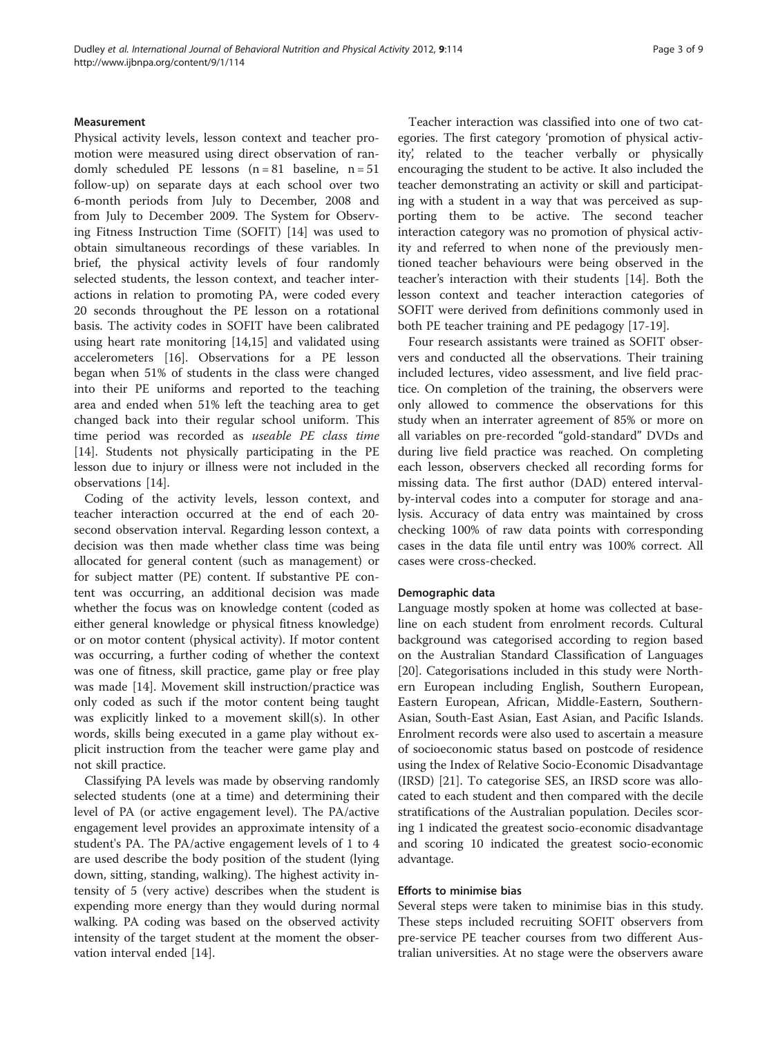#### **Measurement**

Physical activity levels, lesson context and teacher promotion were measured using direct observation of randomly scheduled PE lessons  $(n = 81$  baseline,  $n = 51$ follow-up) on separate days at each school over two 6-month periods from July to December, 2008 and from July to December 2009. The System for Observing Fitness Instruction Time (SOFIT) [[14\]](#page-8-0) was used to obtain simultaneous recordings of these variables. In brief, the physical activity levels of four randomly selected students, the lesson context, and teacher interactions in relation to promoting PA, were coded every 20 seconds throughout the PE lesson on a rotational basis. The activity codes in SOFIT have been calibrated using heart rate monitoring [\[14,15](#page-8-0)] and validated using accelerometers [[16\]](#page-8-0). Observations for a PE lesson began when 51% of students in the class were changed into their PE uniforms and reported to the teaching area and ended when 51% left the teaching area to get changed back into their regular school uniform. This time period was recorded as useable PE class time [[14\]](#page-8-0). Students not physically participating in the PE lesson due to injury or illness were not included in the observations [[14\]](#page-8-0).

Coding of the activity levels, lesson context, and teacher interaction occurred at the end of each 20 second observation interval. Regarding lesson context, a decision was then made whether class time was being allocated for general content (such as management) or for subject matter (PE) content. If substantive PE content was occurring, an additional decision was made whether the focus was on knowledge content (coded as either general knowledge or physical fitness knowledge) or on motor content (physical activity). If motor content was occurring, a further coding of whether the context was one of fitness, skill practice, game play or free play was made [\[14](#page-8-0)]. Movement skill instruction/practice was only coded as such if the motor content being taught was explicitly linked to a movement skill(s). In other words, skills being executed in a game play without explicit instruction from the teacher were game play and not skill practice.

Classifying PA levels was made by observing randomly selected students (one at a time) and determining their level of PA (or active engagement level). The PA/active engagement level provides an approximate intensity of a student's PA. The PA/active engagement levels of 1 to 4 are used describe the body position of the student (lying down, sitting, standing, walking). The highest activity intensity of 5 (very active) describes when the student is expending more energy than they would during normal walking. PA coding was based on the observed activity intensity of the target student at the moment the observation interval ended [\[14](#page-8-0)].

Teacher interaction was classified into one of two categories. The first category 'promotion of physical activity', related to the teacher verbally or physically encouraging the student to be active. It also included the teacher demonstrating an activity or skill and participating with a student in a way that was perceived as supporting them to be active. The second teacher interaction category was no promotion of physical activity and referred to when none of the previously mentioned teacher behaviours were being observed in the teacher's interaction with their students [[14\]](#page-8-0). Both the lesson context and teacher interaction categories of SOFIT were derived from definitions commonly used in both PE teacher training and PE pedagogy [\[17-19](#page-8-0)].

Four research assistants were trained as SOFIT observers and conducted all the observations. Their training included lectures, video assessment, and live field practice. On completion of the training, the observers were only allowed to commence the observations for this study when an interrater agreement of 85% or more on all variables on pre-recorded "gold-standard" DVDs and during live field practice was reached. On completing each lesson, observers checked all recording forms for missing data. The first author (DAD) entered intervalby-interval codes into a computer for storage and analysis. Accuracy of data entry was maintained by cross checking 100% of raw data points with corresponding cases in the data file until entry was 100% correct. All cases were cross-checked.

#### Demographic data

Language mostly spoken at home was collected at baseline on each student from enrolment records. Cultural background was categorised according to region based on the Australian Standard Classification of Languages [[20\]](#page-8-0). Categorisations included in this study were Northern European including English, Southern European, Eastern European, African, Middle-Eastern, Southern-Asian, South-East Asian, East Asian, and Pacific Islands. Enrolment records were also used to ascertain a measure of socioeconomic status based on postcode of residence using the Index of Relative Socio-Economic Disadvantage (IRSD) [\[21](#page-8-0)]. To categorise SES, an IRSD score was allocated to each student and then compared with the decile stratifications of the Australian population. Deciles scoring 1 indicated the greatest socio-economic disadvantage and scoring 10 indicated the greatest socio-economic advantage.

#### Efforts to minimise bias

Several steps were taken to minimise bias in this study. These steps included recruiting SOFIT observers from pre-service PE teacher courses from two different Australian universities. At no stage were the observers aware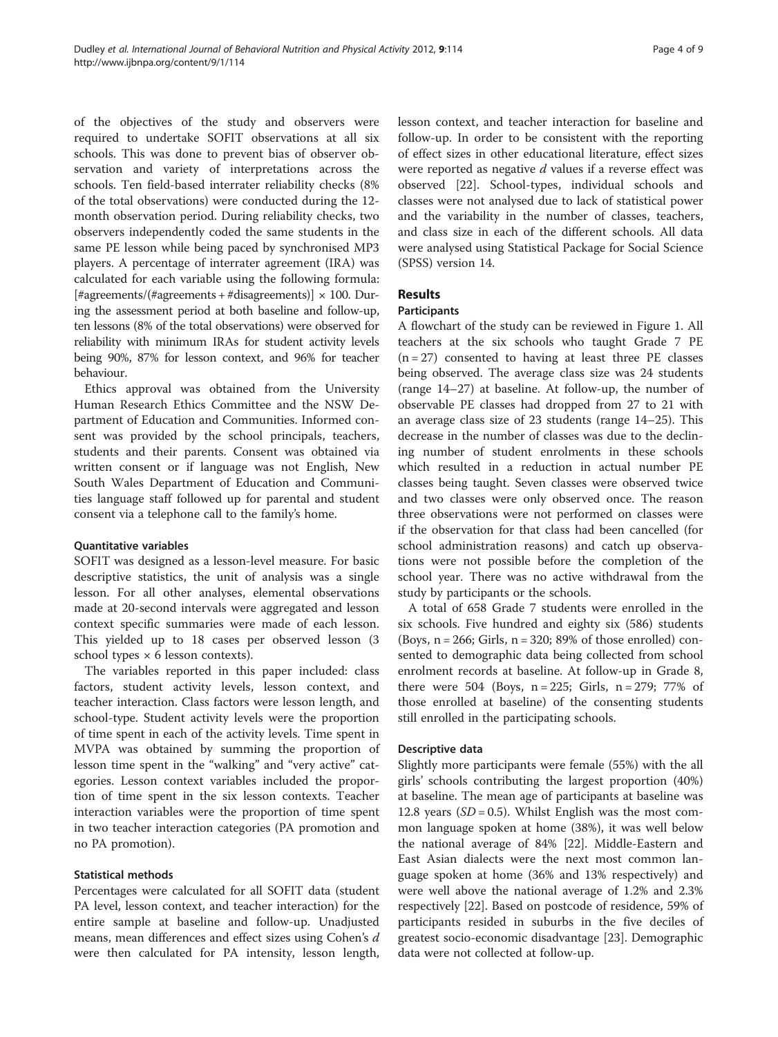of the objectives of the study and observers were required to undertake SOFIT observations at all six schools. This was done to prevent bias of observer observation and variety of interpretations across the schools. Ten field-based interrater reliability checks (8% of the total observations) were conducted during the 12 month observation period. During reliability checks, two observers independently coded the same students in the same PE lesson while being paced by synchronised MP3 players. A percentage of interrater agreement (IRA) was calculated for each variable using the following formula:  $[#agreements/(#agreements + #disagreements)] \times 100$ . During the assessment period at both baseline and follow-up, ten lessons (8% of the total observations) were observed for reliability with minimum IRAs for student activity levels being 90%, 87% for lesson context, and 96% for teacher behaviour.

Ethics approval was obtained from the University Human Research Ethics Committee and the NSW Department of Education and Communities. Informed consent was provided by the school principals, teachers, students and their parents. Consent was obtained via written consent or if language was not English, New South Wales Department of Education and Communities language staff followed up for parental and student consent via a telephone call to the family's home.

#### Quantitative variables

SOFIT was designed as a lesson-level measure. For basic descriptive statistics, the unit of analysis was a single lesson. For all other analyses, elemental observations made at 20-second intervals were aggregated and lesson context specific summaries were made of each lesson. This yielded up to 18 cases per observed lesson (3 school types  $\times$  6 lesson contexts).

The variables reported in this paper included: class factors, student activity levels, lesson context, and teacher interaction. Class factors were lesson length, and school-type. Student activity levels were the proportion of time spent in each of the activity levels. Time spent in MVPA was obtained by summing the proportion of lesson time spent in the "walking" and "very active" categories. Lesson context variables included the proportion of time spent in the six lesson contexts. Teacher interaction variables were the proportion of time spent in two teacher interaction categories (PA promotion and no PA promotion).

# Statistical methods

Percentages were calculated for all SOFIT data (student PA level, lesson context, and teacher interaction) for the entire sample at baseline and follow-up. Unadjusted means, mean differences and effect sizes using Cohen's d were then calculated for PA intensity, lesson length, lesson context, and teacher interaction for baseline and follow-up. In order to be consistent with the reporting of effect sizes in other educational literature, effect sizes were reported as negative  $d$  values if a reverse effect was observed [\[22](#page-8-0)]. School-types, individual schools and classes were not analysed due to lack of statistical power and the variability in the number of classes, teachers, and class size in each of the different schools. All data were analysed using Statistical Package for Social Science (SPSS) version 14.

# Results

### **Participants**

A flowchart of the study can be reviewed in Figure [1](#page-4-0). All teachers at the six schools who taught Grade 7 PE  $(n = 27)$  consented to having at least three PE classes being observed. The average class size was 24 students (range 14–27) at baseline. At follow-up, the number of observable PE classes had dropped from 27 to 21 with an average class size of 23 students (range 14–25). This decrease in the number of classes was due to the declining number of student enrolments in these schools which resulted in a reduction in actual number PE classes being taught. Seven classes were observed twice and two classes were only observed once. The reason three observations were not performed on classes were if the observation for that class had been cancelled (for school administration reasons) and catch up observations were not possible before the completion of the school year. There was no active withdrawal from the study by participants or the schools.

A total of 658 Grade 7 students were enrolled in the six schools. Five hundred and eighty six (586) students (Boys, n = 266; Girls, n = 320; 89% of those enrolled) consented to demographic data being collected from school enrolment records at baseline. At follow-up in Grade 8, there were 504 (Boys,  $n = 225$ ; Girls,  $n = 279$ ; 77% of those enrolled at baseline) of the consenting students still enrolled in the participating schools.

# Descriptive data

Slightly more participants were female (55%) with the all girls' schools contributing the largest proportion (40%) at baseline. The mean age of participants at baseline was 12.8 years ( $SD = 0.5$ ). Whilst English was the most common language spoken at home (38%), it was well below the national average of 84% [[22\]](#page-8-0). Middle-Eastern and East Asian dialects were the next most common language spoken at home (36% and 13% respectively) and were well above the national average of 1.2% and 2.3% respectively [\[22](#page-8-0)]. Based on postcode of residence, 59% of participants resided in suburbs in the five deciles of greatest socio-economic disadvantage [\[23](#page-8-0)]. Demographic data were not collected at follow-up.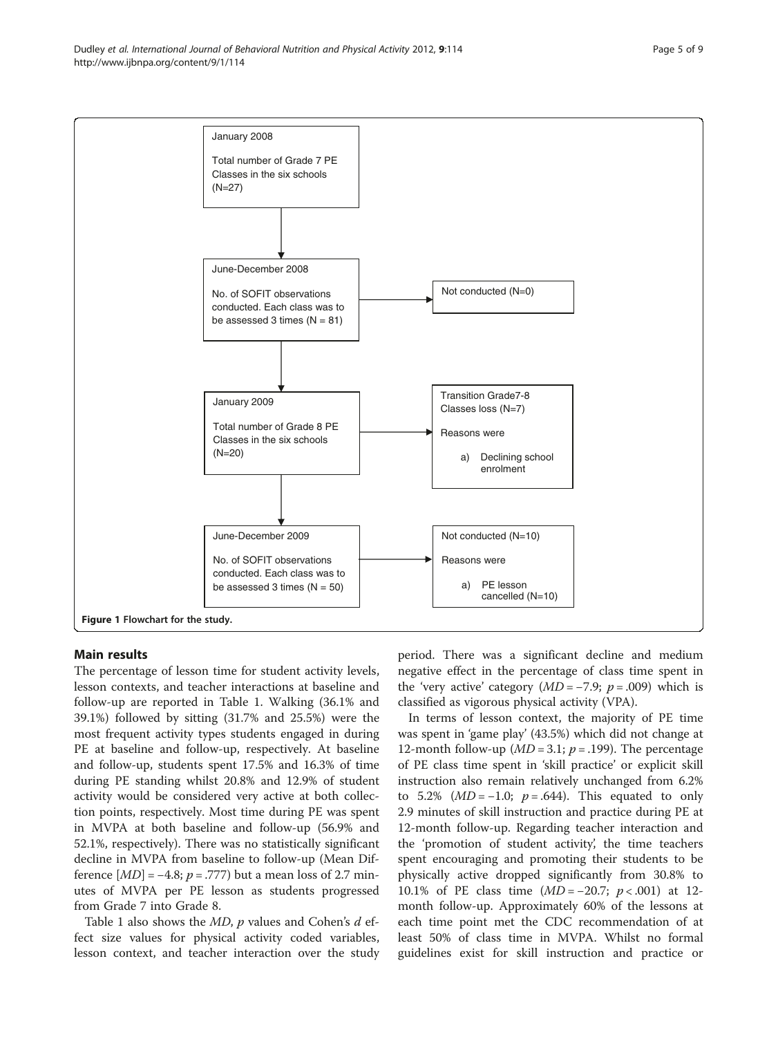<span id="page-4-0"></span>

#### Main results

The percentage of lesson time for student activity levels, lesson contexts, and teacher interactions at baseline and follow-up are reported in Table [1](#page-5-0). Walking (36.1% and 39.1%) followed by sitting (31.7% and 25.5%) were the most frequent activity types students engaged in during PE at baseline and follow-up, respectively. At baseline and follow-up, students spent 17.5% and 16.3% of time during PE standing whilst 20.8% and 12.9% of student activity would be considered very active at both collection points, respectively. Most time during PE was spent in MVPA at both baseline and follow-up (56.9% and 52.1%, respectively). There was no statistically significant decline in MVPA from baseline to follow-up (Mean Difference  $[MD] = −4.8; p = .777$ ) but a mean loss of 2.7 minutes of MVPA per PE lesson as students progressed from Grade 7 into Grade 8.

Table [1](#page-5-0) also shows the  $MD$ ,  $p$  values and Cohen's  $d$  effect size values for physical activity coded variables, lesson context, and teacher interaction over the study period. There was a significant decline and medium negative effect in the percentage of class time spent in the 'very active' category  $(MD = -7.9; p = .009)$  which is classified as vigorous physical activity (VPA).

In terms of lesson context, the majority of PE time was spent in 'game play' (43.5%) which did not change at 12-month follow-up ( $MD = 3.1$ ;  $p = .199$ ). The percentage of PE class time spent in 'skill practice' or explicit skill instruction also remain relatively unchanged from 6.2% to 5.2% ( $MD = -1.0$ ;  $p = .644$ ). This equated to only 2.9 minutes of skill instruction and practice during PE at 12-month follow-up. Regarding teacher interaction and the 'promotion of student activity', the time teachers spent encouraging and promoting their students to be physically active dropped significantly from 30.8% to 10.1% of PE class time  $(MD = -20.7; p < .001)$  at 12month follow-up. Approximately 60% of the lessons at each time point met the CDC recommendation of at least 50% of class time in MVPA. Whilst no formal guidelines exist for skill instruction and practice or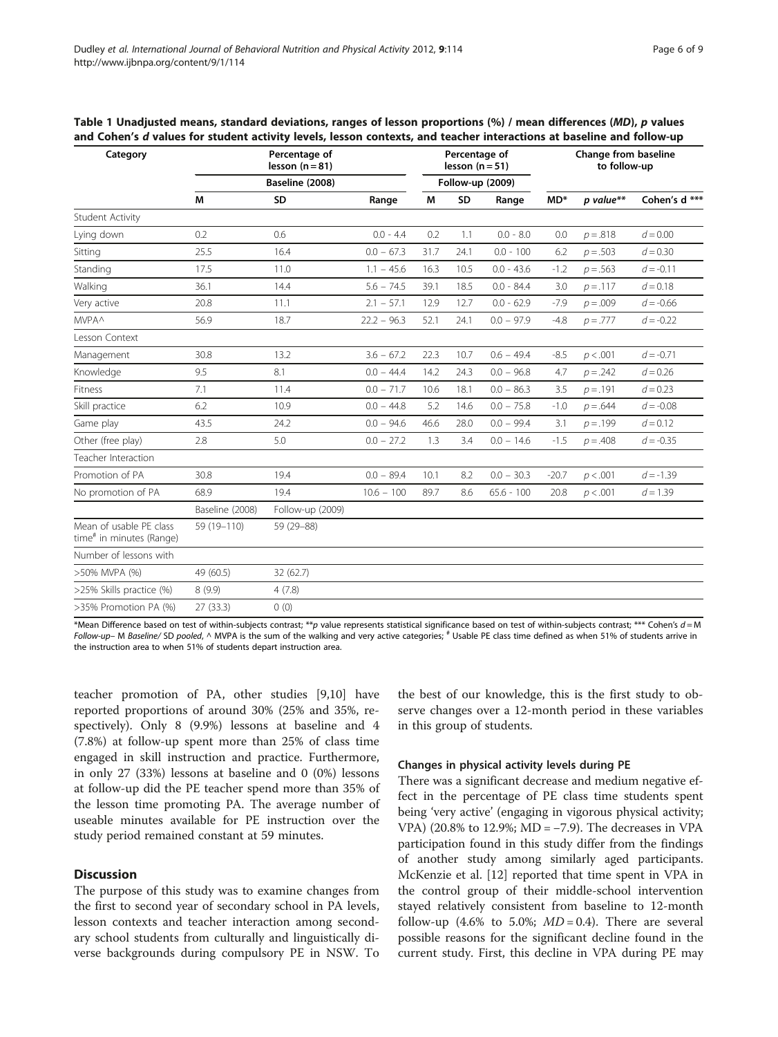| Category                                                        | Percentage of<br>$lesson (n=81)$<br>Baseline (2008) |                  |               | Percentage of<br>$lesson (n=51)$<br>Follow-up (2009) |      |              | Change from baseline<br>to follow-up |            |             |
|-----------------------------------------------------------------|-----------------------------------------------------|------------------|---------------|------------------------------------------------------|------|--------------|--------------------------------------|------------|-------------|
|                                                                 |                                                     |                  |               |                                                      |      |              |                                      |            |             |
|                                                                 | Student Activity                                    |                  |               |                                                      |      |              |                                      |            |             |
| Lying down                                                      | 0.2                                                 | 0.6              | $0.0 - 4.4$   | 0.2                                                  | 1.1  | $0.0 - 8.0$  | 0.0                                  | $p = .818$ | $d = 0.00$  |
| Sitting                                                         | 25.5                                                | 16.4             | $0.0 - 67.3$  | 31.7                                                 | 24.1 | $0.0 - 100$  | 6.2                                  | $p = .503$ | $d = 0.30$  |
| Standing                                                        | 17.5                                                | 11.0             | $1.1 - 45.6$  | 16.3                                                 | 10.5 | $0.0 - 43.6$ | $-1.2$                               | $p = .563$ | $d = -0.11$ |
| Walking                                                         | 36.1                                                | 14.4             | $5.6 - 74.5$  | 39.1                                                 | 18.5 | $0.0 - 84.4$ | 3.0                                  | $p = .117$ | $d = 0.18$  |
| Very active                                                     | 20.8                                                | 11.1             | $2.1 - 57.1$  | 12.9                                                 | 12.7 | $0.0 - 62.9$ | $-7.9$                               | $p = .009$ | $d = -0.66$ |
| MVPA^                                                           | 56.9                                                | 18.7             | $22.2 - 96.3$ | 52.1                                                 | 24.1 | $0.0 - 97.9$ | $-4.8$                               | $p = .777$ | $d = -0.22$ |
| Lesson Context                                                  |                                                     |                  |               |                                                      |      |              |                                      |            |             |
| Management                                                      | 30.8                                                | 13.2             | $3.6 - 67.2$  | 22.3                                                 | 10.7 | $0.6 - 49.4$ | $-8.5$                               | p < .001   | $d = -0.71$ |
| Knowledge                                                       | 9.5                                                 | 8.1              | $0.0 - 44.4$  | 14.2                                                 | 24.3 | $0.0 - 96.8$ | 4.7                                  | $p = .242$ | $d = 0.26$  |
| Fitness                                                         | 7.1                                                 | 11.4             | $0.0 - 71.7$  | 10.6                                                 | 18.1 | $0.0 - 86.3$ | 3.5                                  | $p = .191$ | $d = 0.23$  |
| Skill practice                                                  | 6.2                                                 | 10.9             | $0.0 - 44.8$  | 5.2                                                  | 14.6 | $0.0 - 75.8$ | $-1.0$                               | $p = .644$ | $d = -0.08$ |
| Game play                                                       | 43.5                                                | 24.2             | $0.0 - 94.6$  | 46.6                                                 | 28.0 | $0.0 - 99.4$ | 3.1                                  | $p = .199$ | $d = 0.12$  |
| Other (free play)                                               | 2.8                                                 | 5.0              | $0.0 - 27.2$  | 1.3                                                  | 3.4  | $0.0 - 14.6$ | $-1.5$                               | $p = .408$ | $d = -0.35$ |
| Teacher Interaction                                             |                                                     |                  |               |                                                      |      |              |                                      |            |             |
| Promotion of PA                                                 | 30.8                                                | 19.4             | $0.0 - 89.4$  | 10.1                                                 | 8.2  | $0.0 - 30.3$ | $-20.7$                              | p < .001   | $d = -1.39$ |
| No promotion of PA                                              | 68.9                                                | 19.4             | $10.6 - 100$  | 89.7                                                 | 8.6  | $65.6 - 100$ | 20.8                                 | p < .001   | $d = 1.39$  |
|                                                                 | Baseline (2008)                                     | Follow-up (2009) |               |                                                      |      |              |                                      |            |             |
| Mean of usable PE class<br>time <sup>#</sup> in minutes (Range) | 59 (19-110)                                         | 59 (29-88)       |               |                                                      |      |              |                                      |            |             |
| Number of lessons with                                          |                                                     |                  |               |                                                      |      |              |                                      |            |             |
| >50% MVPA (%)                                                   | 49 (60.5)                                           | 32 (62.7)        |               |                                                      |      |              |                                      |            |             |
| >25% Skills practice (%)                                        | 8(9.9)                                              | 4(7.8)           |               |                                                      |      |              |                                      |            |             |
| >35% Promotion PA (%)                                           | 27(33.3)                                            | 0(0)             |               |                                                      |      |              |                                      |            |             |

<span id="page-5-0"></span>

| Table 1 Unadjusted means, standard deviations, ranges of lesson proportions (%) / mean differences (MD), p values     |  |
|-----------------------------------------------------------------------------------------------------------------------|--|
| and Cohen's d values for student activity levels, lesson contexts, and teacher interactions at baseline and follow-up |  |

\*Mean Difference based on test of within-subjects contrast; \*\*p value represents statistical significance based on test of within-subjects contrast; \*\*\* Cohen's d = M Follow-up- M Baseline/ SD pooled, ^ MVPA is the sum of the walking and very active categories; # Usable PE class time defined as when 51% of students arrive in the instruction area to when 51% of students depart instruction area.

teacher promotion of PA, other studies [\[9,10](#page-7-0)] have reported proportions of around 30% (25% and 35%, respectively). Only 8 (9.9%) lessons at baseline and 4 (7.8%) at follow-up spent more than 25% of class time engaged in skill instruction and practice. Furthermore, in only 27 (33%) lessons at baseline and 0 (0%) lessons at follow-up did the PE teacher spend more than 35% of the lesson time promoting PA. The average number of useable minutes available for PE instruction over the study period remained constant at 59 minutes.

#### **Discussion**

The purpose of this study was to examine changes from the first to second year of secondary school in PA levels, lesson contexts and teacher interaction among secondary school students from culturally and linguistically diverse backgrounds during compulsory PE in NSW. To

the best of our knowledge, this is the first study to observe changes over a 12-month period in these variables in this group of students.

#### Changes in physical activity levels during PE

There was a significant decrease and medium negative effect in the percentage of PE class time students spent being 'very active' (engaging in vigorous physical activity; VPA) (20.8% to 12.9%; MD = −7.9). The decreases in VPA participation found in this study differ from the findings of another study among similarly aged participants. McKenzie et al. [[12\]](#page-7-0) reported that time spent in VPA in the control group of their middle-school intervention stayed relatively consistent from baseline to 12-month follow-up (4.6% to 5.0%;  $MD = 0.4$ ). There are several possible reasons for the significant decline found in the current study. First, this decline in VPA during PE may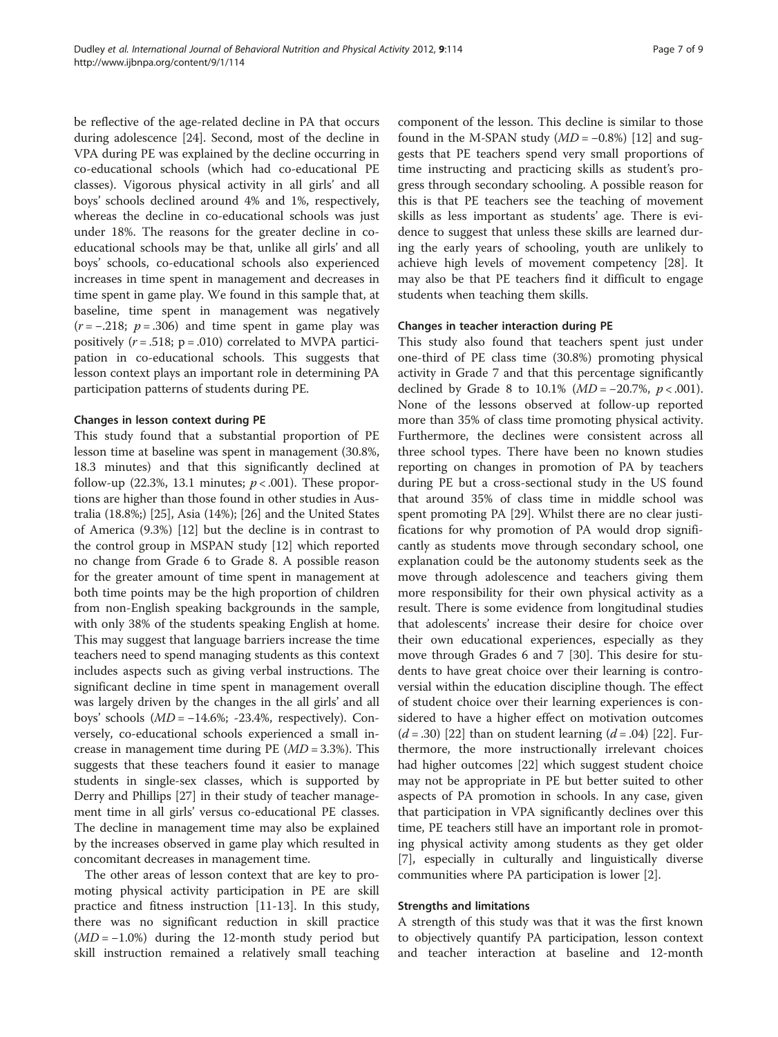be reflective of the age-related decline in PA that occurs during adolescence [[24](#page-8-0)]. Second, most of the decline in VPA during PE was explained by the decline occurring in co-educational schools (which had co-educational PE classes). Vigorous physical activity in all girls' and all boys' schools declined around 4% and 1%, respectively, whereas the decline in co-educational schools was just under 18%. The reasons for the greater decline in coeducational schools may be that, unlike all girls' and all boys' schools, co-educational schools also experienced increases in time spent in management and decreases in time spent in game play. We found in this sample that, at baseline, time spent in management was negatively  $(r = -.218; p = .306)$  and time spent in game play was positively  $(r = .518; p = .010)$  correlated to MVPA participation in co-educational schools. This suggests that lesson context plays an important role in determining PA participation patterns of students during PE.

#### Changes in lesson context during PE

This study found that a substantial proportion of PE lesson time at baseline was spent in management (30.8%, 18.3 minutes) and that this significantly declined at follow-up (22.3%, 13.1 minutes;  $p < .001$ ). These proportions are higher than those found in other studies in Australia (18.8%;) [\[25\]](#page-8-0), Asia (14%); [\[26](#page-8-0)] and the United States of America (9.3%) [\[12\]](#page-7-0) but the decline is in contrast to the control group in MSPAN study [\[12\]](#page-7-0) which reported no change from Grade 6 to Grade 8. A possible reason for the greater amount of time spent in management at both time points may be the high proportion of children from non-English speaking backgrounds in the sample, with only 38% of the students speaking English at home. This may suggest that language barriers increase the time teachers need to spend managing students as this context includes aspects such as giving verbal instructions. The significant decline in time spent in management overall was largely driven by the changes in the all girls' and all boys' schools  $(MD = -14.6\%; -23.4\%$ , respectively). Conversely, co-educational schools experienced a small increase in management time during PE  $(MD = 3.3\%)$ . This suggests that these teachers found it easier to manage students in single-sex classes, which is supported by Derry and Phillips [\[27](#page-8-0)] in their study of teacher management time in all girls' versus co-educational PE classes. The decline in management time may also be explained by the increases observed in game play which resulted in concomitant decreases in management time.

The other areas of lesson context that are key to promoting physical activity participation in PE are skill practice and fitness instruction [[11-](#page-7-0)[13\]](#page-8-0). In this study, there was no significant reduction in skill practice  $(MD = -1.0\%)$  during the 12-month study period but skill instruction remained a relatively small teaching component of the lesson. This decline is similar to those found in the M-SPAN study  $(MD = -0.8\%)$  [[12\]](#page-7-0) and suggests that PE teachers spend very small proportions of time instructing and practicing skills as student's progress through secondary schooling. A possible reason for this is that PE teachers see the teaching of movement skills as less important as students' age. There is evidence to suggest that unless these skills are learned during the early years of schooling, youth are unlikely to achieve high levels of movement competency [[28](#page-8-0)]. It may also be that PE teachers find it difficult to engage students when teaching them skills.

# Changes in teacher interaction during PE

This study also found that teachers spent just under one-third of PE class time (30.8%) promoting physical activity in Grade 7 and that this percentage significantly declined by Grade 8 to  $10.1\%$  (*MD* = -20.7%,  $p < .001$ ). None of the lessons observed at follow-up reported more than 35% of class time promoting physical activity. Furthermore, the declines were consistent across all three school types. There have been no known studies reporting on changes in promotion of PA by teachers during PE but a cross-sectional study in the US found that around 35% of class time in middle school was spent promoting PA [[29\]](#page-8-0). Whilst there are no clear justifications for why promotion of PA would drop significantly as students move through secondary school, one explanation could be the autonomy students seek as the move through adolescence and teachers giving them more responsibility for their own physical activity as a result. There is some evidence from longitudinal studies that adolescents' increase their desire for choice over their own educational experiences, especially as they move through Grades 6 and 7 [[30\]](#page-8-0). This desire for students to have great choice over their learning is controversial within the education discipline though. The effect of student choice over their learning experiences is considered to have a higher effect on motivation outcomes  $(d = .30)$  [[22](#page-8-0)] than on student learning  $(d = .04)$  [[22\]](#page-8-0). Furthermore, the more instructionally irrelevant choices had higher outcomes [[22](#page-8-0)] which suggest student choice may not be appropriate in PE but better suited to other aspects of PA promotion in schools. In any case, given that participation in VPA significantly declines over this time, PE teachers still have an important role in promoting physical activity among students as they get older [[7\]](#page-7-0), especially in culturally and linguistically diverse communities where PA participation is lower [\[2\]](#page-7-0).

#### Strengths and limitations

A strength of this study was that it was the first known to objectively quantify PA participation, lesson context and teacher interaction at baseline and 12-month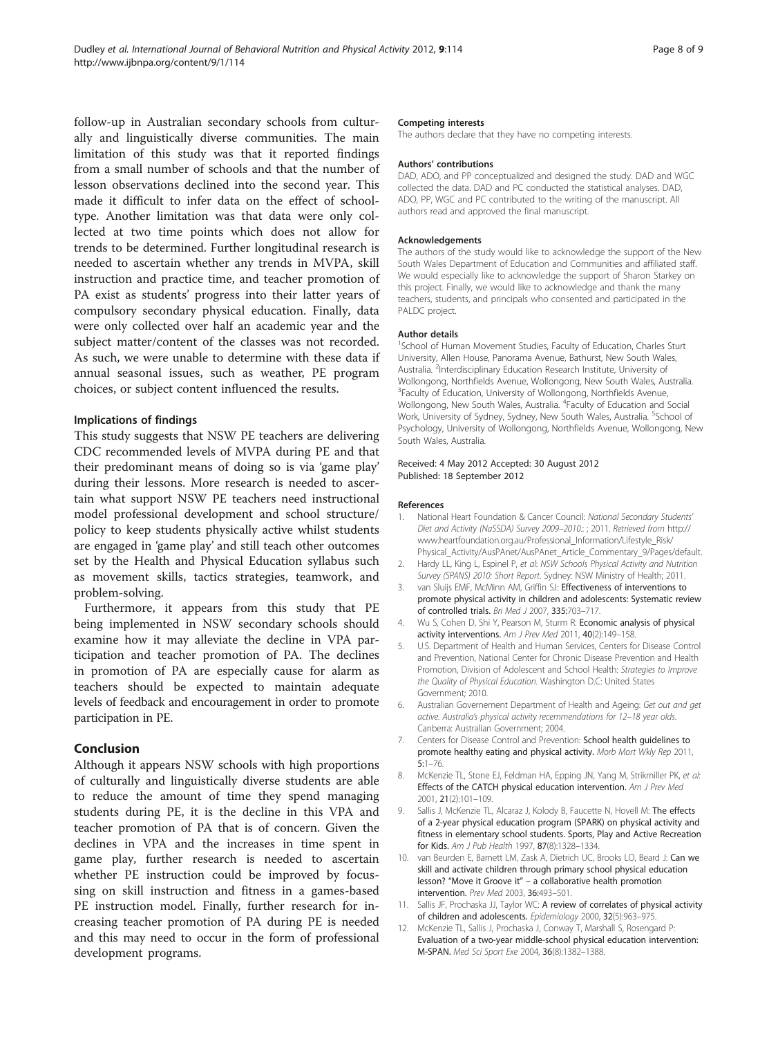<span id="page-7-0"></span>follow-up in Australian secondary schools from culturally and linguistically diverse communities. The main limitation of this study was that it reported findings from a small number of schools and that the number of lesson observations declined into the second year. This made it difficult to infer data on the effect of schooltype. Another limitation was that data were only collected at two time points which does not allow for trends to be determined. Further longitudinal research is needed to ascertain whether any trends in MVPA, skill instruction and practice time, and teacher promotion of PA exist as students' progress into their latter years of compulsory secondary physical education. Finally, data were only collected over half an academic year and the subject matter/content of the classes was not recorded. As such, we were unable to determine with these data if annual seasonal issues, such as weather, PE program choices, or subject content influenced the results.

#### Implications of findings

This study suggests that NSW PE teachers are delivering CDC recommended levels of MVPA during PE and that their predominant means of doing so is via 'game play' during their lessons. More research is needed to ascertain what support NSW PE teachers need instructional model professional development and school structure/ policy to keep students physically active whilst students are engaged in 'game play' and still teach other outcomes set by the Health and Physical Education syllabus such as movement skills, tactics strategies, teamwork, and problem-solving.

Furthermore, it appears from this study that PE being implemented in NSW secondary schools should examine how it may alleviate the decline in VPA participation and teacher promotion of PA. The declines in promotion of PA are especially cause for alarm as teachers should be expected to maintain adequate levels of feedback and encouragement in order to promote participation in PE.

#### Conclusion

Although it appears NSW schools with high proportions of culturally and linguistically diverse students are able to reduce the amount of time they spend managing students during PE, it is the decline in this VPA and teacher promotion of PA that is of concern. Given the declines in VPA and the increases in time spent in game play, further research is needed to ascertain whether PE instruction could be improved by focussing on skill instruction and fitness in a games-based PE instruction model. Finally, further research for increasing teacher promotion of PA during PE is needed and this may need to occur in the form of professional development programs.

#### Competing interests

The authors declare that they have no competing interests.

#### Authors' contributions

DAD, ADO, and PP conceptualized and designed the study. DAD and WGC collected the data. DAD and PC conducted the statistical analyses. DAD, ADO, PP, WGC and PC contributed to the writing of the manuscript. All authors read and approved the final manuscript.

#### Acknowledgements

The authors of the study would like to acknowledge the support of the New South Wales Department of Education and Communities and affiliated staff. We would especially like to acknowledge the support of Sharon Starkey on this project. Finally, we would like to acknowledge and thank the many teachers, students, and principals who consented and participated in the PALDC project.

#### Author details

<sup>1</sup>School of Human Movement Studies, Faculty of Education, Charles Sturt University, Allen House, Panorama Avenue, Bathurst, New South Wales, Australia. <sup>2</sup>Interdisciplinary Education Research Institute, University of Wollongong, Northfields Avenue, Wollongong, New South Wales, Australia. <sup>3</sup> Faculty of Education, University of Wollongong, Northfields Avenue, Wollongong, New South Wales, Australia. <sup>4</sup>Faculty of Education and Social Work, University of Sydney, Sydney, New South Wales, Australia. <sup>5</sup>School of Psychology, University of Wollongong, Northfields Avenue, Wollongong, New South Wales, Australia.

#### Received: 4 May 2012 Accepted: 30 August 2012 Published: 18 September 2012

#### References

- 1. National Heart Foundation & Cancer Council: National Secondary Students' Diet and Activity (NaSSDA) Survey 2009–2010.: ; 2011. Retrieved from [http://](http://www.heartfoundation.org.au/Professional_Information/Lifestyle_Risk/Physical_Activity/AusPAnet/AusPAnet_Article_Commentary_9/Pages/default) [www.heartfoundation.org.au/Professional\\_Information/Lifestyle\\_Risk/](http://www.heartfoundation.org.au/Professional_Information/Lifestyle_Risk/Physical_Activity/AusPAnet/AusPAnet_Article_Commentary_9/Pages/default) [Physical\\_Activity/AusPAnet/AusPAnet\\_Article\\_Commentary\\_9/Pages/default.](http://www.heartfoundation.org.au/Professional_Information/Lifestyle_Risk/Physical_Activity/AusPAnet/AusPAnet_Article_Commentary_9/Pages/default)
- 2. Hardy LL, King L, Espinel P, et al: NSW Schools Physical Activity and Nutrition Survey (SPANS) 2010: Short Report. Sydney: NSW Ministry of Health; 2011.
- 3. van Sluijs EMF, McMinn AM, Griffin SJ: Effectiveness of interventions to promote physical activity in children and adolescents: Systematic review of controlled trials. Bri Med J 2007, 335:703–717.
- 4. Wu S, Cohen D, Shi Y, Pearson M, Sturm R: Economic analysis of physical activity interventions. Am J Prev Med 2011, 40(2):149-158.
- 5. U.S. Department of Health and Human Services, Centers for Disease Control and Prevention, National Center for Chronic Disease Prevention and Health Promotion, Division of Adolescent and School Health: Strategies to Improve the Quality of Physical Education. Washington D.C: United States Government; 2010.
- 6. Australian Governement Department of Health and Ageing: Get out and get active. Australia's physical activity recemmendations for 12–18 year olds. Canberra: Australian Government; 2004.
- 7. Centers for Disease Control and Prevention: School health guidelines to promote healthy eating and physical activity. Morb Mort Wkly Rep 2011, 5:1–76.
- 8. McKenzie TL, Stone EJ, Feldman HA, Epping JN, Yang M, Strikmiller PK, et al: Effects of the CATCH physical education intervention. Am J Prev Med 2001, 21(2):101–109.
- 9. Sallis J, McKenzie TL, Alcaraz J, Kolody B, Faucette N, Hovell M: The effects of a 2-year physical education program (SPARK) on physical activity and fitness in elementary school students. Sports, Play and Active Recreation for Kids. Am J Pub Health 1997, 87(8):1328–1334.
- 10. van Beurden E, Barnett LM, Zask A, Dietrich UC, Brooks LO, Beard J: Can we skill and activate children through primary school physical education lesson? "Move it Groove it" – a collaborative health promotion intervention. Prev Med 2003, 36:493–501.
- 11. Sallis JF, Prochaska JJ, Taylor WC: A review of correlates of physical activity of children and adolescents. Epidemiology 2000, 32(5):963–975.
- 12. McKenzie TL, Sallis J, Prochaska J, Conway T, Marshall S, Rosengard P: Evaluation of a two-year middle-school physical education intervention: M-SPAN. Med Sci Sport Exe 2004, 36(8):1382–1388.